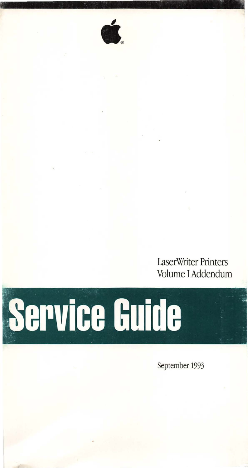LaserWriter Printers Volume I Addendum



September 1993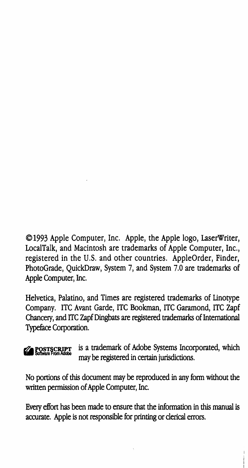©1993 Apple Computer, Inc. Apple, the Apple logo, LaserWriter, LocalTalk, and Macintosh are trademarks of Apple Computer, Inc., registered in the U.S. and other countries. AppleOrder, Finder, PhotoGrade, QuickDraw, System 7, and System 7.0 are trademarks of Apple Computer, Inc.

Helvetica, Palatino, and Times are registered trademarks of Linotype Company. ITC Avant Garde, ITC Bookman, ITC Garamond, ITC Zapf Chancery, and ITC Zapf Dingbats are registered trademarks of International Typeface Corporation.

 $\%$  POSTSCRIPT is a trademark of Adobe Systems Incorporated, which may be registered in certain jurisdictions.

No portions of this document may be reproduced in any form without the written permission of Apple Computer, Inc.

Every effort has been made to ensure that the information in this manual is accurate. Apple is not responsible for printing or clerical errors.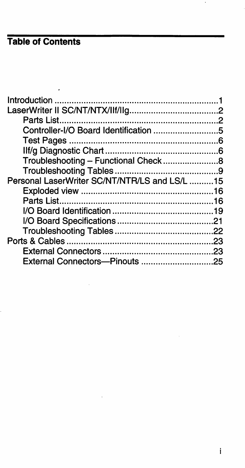# **Table of Contents**

| Controller-I/O Board Identification 5         |  |
|-----------------------------------------------|--|
|                                               |  |
|                                               |  |
|                                               |  |
|                                               |  |
| Personal LaserWriter SC/NT/NTR/LS and LS/L 15 |  |
|                                               |  |
|                                               |  |
|                                               |  |
|                                               |  |
|                                               |  |
|                                               |  |
|                                               |  |
|                                               |  |
|                                               |  |

 $\cdot$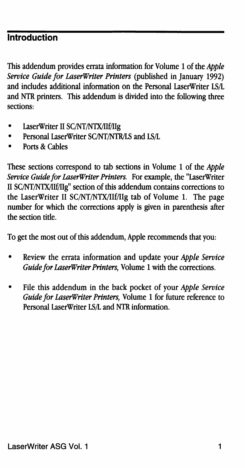#### **Introduction**

This addendum provides errata information for Volume 1 of the *Apple Service Guide for LaserWriter Printers* (published in January 1992) and includes additional information on the Personal LaserWriter LS/L and NTR printers. This addendum is divided into the following three sections:

- LaserWriter II SC/NT/NTX/IIf/IIg
- Personal LaserWriter SC/NT/NTR/LS and LS/L
- Ports & Cables

These sections correspond to tab sections in Volume 1 of the *Apple Service Guide for LaserWriter Printers.* For example, the "LaserWriter II SC/NT/NTX/IIf/IIg" section of this addendum contains corrections to the LaserWriter II SC/NT/NTX/llf/llg tab of Volume 1. The page number for which the corrections apply is given in parenthesis after the section title.

To get the most out of this addendum, Apple recommends that you:

- Review the errata information and update your *Apple Service Guide for LaserWriter Printers,* Volume 1 with the corrections.
- File this addendum in the back pocket of your *Apple Service Guide for LaserWriter Printers,* Volume 1 for future reference to Personal LaserWriter LS/I. and NTR information.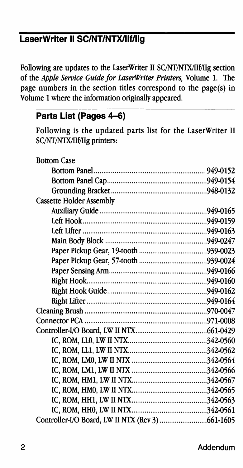#### **LaserWriter II SC/NT/NTX/IIf/IIg**

Following are updates to the LaserWriter II SC/NT/NTX/llf/IIg section of the *Apple Service Guide for LaserWriter Printers,* Volume 1. The page numbers in the section titles correspond to the page(s) in Volume 1 where the information originally appeared.

#### **Parts List (Pages** 4-6)

Following is the updated parts list for the LaserWriter II SC/NT/NTX/llf/IIg printers:

| <b>Bottom Case</b>              |  |
|---------------------------------|--|
|                                 |  |
|                                 |  |
|                                 |  |
| <b>Cassette Holder Assembly</b> |  |
|                                 |  |
|                                 |  |
|                                 |  |
|                                 |  |
|                                 |  |
|                                 |  |
|                                 |  |
|                                 |  |
|                                 |  |
|                                 |  |
|                                 |  |
|                                 |  |
|                                 |  |
|                                 |  |
|                                 |  |
|                                 |  |
|                                 |  |
|                                 |  |
|                                 |  |
|                                 |  |
|                                 |  |
|                                 |  |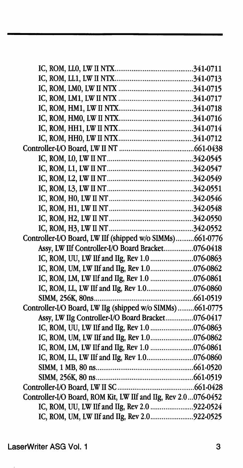| Controller-I/O Board, LW IIf (shipped w/o SIMMs)661-0776       |  |
|----------------------------------------------------------------|--|
| Assy, LW IIf Controller-I/O Board Bracket076-0418              |  |
| IC, ROM, UU, LW IIf and IIg, Rev 1.0 076-0863                  |  |
| IC, ROM, UM, LW IIf and IIg, Rev 1.0076-0862                   |  |
| IC, ROM, LM, LW IIf and IIg, Rev 1.0 076-0861                  |  |
| IC, ROM, LL, LW IIf and IIg, Rev 1.0076-0860                   |  |
|                                                                |  |
| Controller-I/O Board, LW IIg (shipped w/o SIMMs)661-0775       |  |
| Assy, LW IIg Controller-I/O Board Bracket076-0417              |  |
| IC, ROM, UU, LW IIf and IIg, Rev 1.0 076-0863                  |  |
| IC, ROM, UM, LW IIf and IIg, Rev 1.0076-0862                   |  |
| IC, ROM, LM, LW IIf and IIg, Rev 1.0 076-0861                  |  |
| IC, ROM, LL, LW IIf and IIg, Rev 1.0076-0860                   |  |
|                                                                |  |
|                                                                |  |
|                                                                |  |
| Controller-I/O Board, ROM Kit, LW IIf and IIg, Rev 2.0076-0452 |  |
| IC, ROM, UU, LW IIf and IIg, Rev 2.0 922-0524                  |  |
| IC, ROM, UM, LW IIf and IIg, Rev 2.0922-0525                   |  |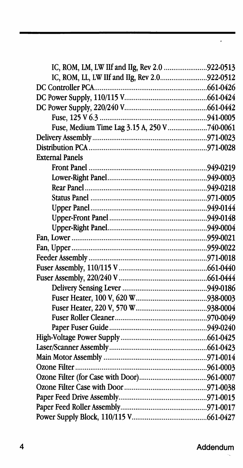| IC, ROM, LM, LW IIf and IIg, Rev 2.0 922-0513 |  |
|-----------------------------------------------|--|
| IC, ROM, LL, LW IIf and IIg, Rev 2.0922-0512  |  |
|                                               |  |
|                                               |  |
|                                               |  |
|                                               |  |
| Fuse, Medium Time Lag 3.15 A, 250 V 740-0061  |  |
|                                               |  |
|                                               |  |
| <b>External Panels</b>                        |  |
|                                               |  |
|                                               |  |
|                                               |  |
|                                               |  |
|                                               |  |
|                                               |  |
|                                               |  |
|                                               |  |
|                                               |  |
|                                               |  |
|                                               |  |
|                                               |  |
|                                               |  |
|                                               |  |
|                                               |  |
|                                               |  |
|                                               |  |
|                                               |  |
|                                               |  |
|                                               |  |
|                                               |  |
|                                               |  |
|                                               |  |
|                                               |  |
|                                               |  |
|                                               |  |

 $\cdot$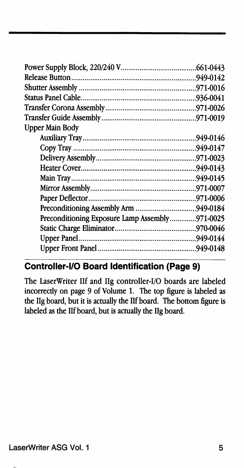| <b>Upper Main Body</b>                         |  |
|------------------------------------------------|--|
|                                                |  |
|                                                |  |
|                                                |  |
|                                                |  |
|                                                |  |
|                                                |  |
|                                                |  |
|                                                |  |
| Preconditioning Exposure Lamp Assembly971-0025 |  |
|                                                |  |
|                                                |  |
|                                                |  |

## **Controller-110 Board Identification (Page 9)**

The LaserWriter IIf and Ilg controller-1/0 boards are labeled incorrectly on page 9 of Volume 1. The top figure is labeled as the Ilg board, but it is actually the IIf board. The bottom figure is labeled as the IIf board, but is actually the Ilg board.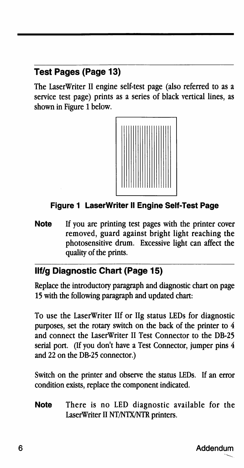## **Test Pages (Page 13)**

The LaserWriter II engine self-test page (also referred to as a service test page) prints as a series of black vertical lines, as shown in Figure 1 below.



#### **Figure 1 LaserWriter II Engine Self-Test Page**

**Note** If you are printing test pages with the printer cover removed, guard against bright light reaching the photosensitive drum. Excessive light can affect the quality of the prints.

#### **llf/g Diagnostic Chart (Page 15)**

Replace the introductory paragraph and diagnostic chart on page 15 with the following paragraph and updated chart:

To use the LaserWriter IIf or Ilg status LEDs for diagnostic purposes, set the rotary switch on the back of the printer to 4 and connect the LaserWriter II Test Connector to the DB-25 serial port. (If you don't have a Test Connector, jumper pins 4 and 22 on the DB-25 connector.)

Switch on the printer and observe the status LEDs. If an error condition exists, replace the component indicated.

**Note** There is no LED diagnostic available for the LaserWriter II NT/NTX/NTR printers.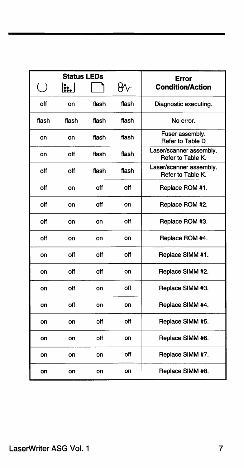|        | <b>Status LEDs</b> |       |       | Error                                        |
|--------|--------------------|-------|-------|----------------------------------------------|
| $\cup$ | ::                 |       | ₩ヶ    | <b>Condition/Action</b>                      |
| off    | on                 | flash | flash | Diagnostic executing.                        |
| flash  | flash              | flash | flash | No error.                                    |
| on     | on                 | flash | flash | Fuser assembly.<br>Refer to Table D          |
| on     | off                | flash | flash | Laser/scanner assembly.<br>Refer to Table K. |
| off    | off                | flash | flash | Laser/scanner assembly.<br>Refer to Table K. |
| off    | on                 | off   | off   | Replace ROM #1.                              |
| off    | on                 | off   | on    | Replace ROM #2.                              |
| off    | on                 | on    | off   | Replace ROM #3.                              |
| off    | on                 | on    | on    | Replace ROM #4.                              |
| on     | off                | off   | off   | Replace SIMM #1.                             |
| on     | off                | off   | on    | Replace SIMM #2.                             |
| on     | off                | on    | ٥ff   | Replace SIMM #3.                             |
| on     | off                | on    | on    | Replace SIMM #4.                             |
| on     | on                 | off   | off   | Replace SIMM #5.                             |
| on     | on                 | off   | on    | Replace SIMM #6.                             |
| on     | on                 | on    | off   | Replace SIMM #7.                             |
| on     | on                 | on    | on    | Replace SIMM #8.                             |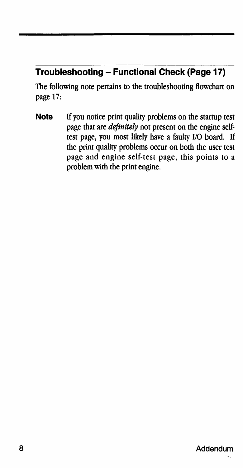# **Troubleshooting- Functional Check (Page 17)**

The following note pertains to the troubleshooting flowchart on page 17:

**Note** If you notice print quality problems on the startup test page that are *definitely* not present on the engine self· test page, you most likely have a faulty 1/0 board. If the print quality problems occur on both the user test page and engine self-test page, this points to a problem with the print engine.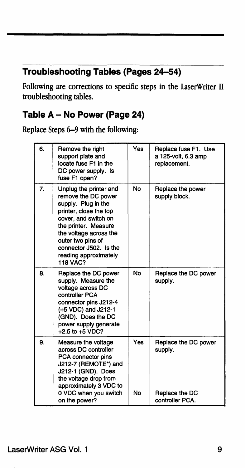# **Troubleshooting Tables (Pages 24-54)**

Following are corrections to specific steps in the LaserWriter II troubleshooting tables.

## **Table A - No Power (Page 24)**

Replace Steps 6-9 with the following:

| 6. | Remove the right<br>support plate and<br>locate fuse F1 in the<br>DC power supply. Is<br>fuse F1 open?                                                                                                                                                              | <b>Yes</b> | Replace fuse F1. Use<br>a 125-volt, 6.3 amp<br>replacement. |
|----|---------------------------------------------------------------------------------------------------------------------------------------------------------------------------------------------------------------------------------------------------------------------|------------|-------------------------------------------------------------|
| 7. | Unplug the printer and<br>remove the DC power<br>supply. Plug in the<br>printer, close the top<br>cover, and switch on<br>the printer. Measure<br>the voltage across the<br>outer two pins of<br>connector J502. Is the<br>reading approximately<br><b>118 VAC?</b> | <b>No</b>  | Replace the power<br>supply block.                          |
| 8. | Replace the DC power<br>supply. Measure the<br>voltage across DC<br>controller PCA<br>connector pins J212-4<br>(+5 VDC) and J212-1<br>(GND). Does the DC<br>power supply generate<br>+2.5 to +5 VDC?                                                                | No         | Replace the DC power<br>supply.                             |
| 9. | Measure the voltage<br>across DC controller<br>PCA connector pins<br>J212-7 (REMOTE*) and<br>J212-1 (GND). Does<br>the voltage drop from<br>approximately 3 VDC to<br>0 VDC when you switch                                                                         | Yes<br>No  | Replace the DC power<br>supply.<br>Replace the DC           |
|    | on the power?                                                                                                                                                                                                                                                       |            | controller PCA.                                             |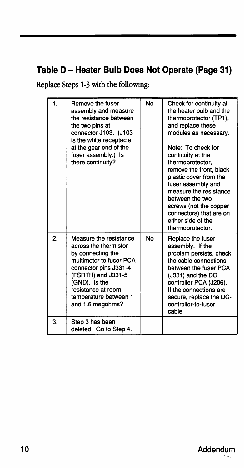# **Table D-Heater Bulb Does Not Operate (Page 31)**

Replace Steps 1-3 with the following:

| 1. | Remove the fuser<br>assembly and measure<br>the resistance between<br>the two pins at<br>connector J103. (J103<br>is the white receptacle<br>at the gear end of the<br>fuser assembly.) Is<br>there continuity?                    | No        | Check for continuity at<br>the heater bulb and the<br>thermoprotector (TP1),<br>and replace these<br>modules as necessary.<br>Note: To check for<br>continuity at the<br>thermoprotector.<br>remove the front, black<br>plastic cover from the<br>fuser assembly and<br>measure the resistance<br>between the two<br>screws (not the copper<br>connectors) that are on<br>either side of the<br>thermoprotector. |
|----|------------------------------------------------------------------------------------------------------------------------------------------------------------------------------------------------------------------------------------|-----------|------------------------------------------------------------------------------------------------------------------------------------------------------------------------------------------------------------------------------------------------------------------------------------------------------------------------------------------------------------------------------------------------------------------|
| 2. | Measure the resistance<br>across the thermistor<br>by connecting the<br>multimeter to fuser PCA<br>connector pins J331-4<br>(FSRTH) and J331-5<br>(GND). Is the<br>resistance at room<br>temperature between 1<br>and 1.6 megohms? | <b>No</b> | Replace the fuser<br>assembly. If the<br>problem persists, check<br>the cable connections<br>between the fuser PCA<br>(J331) and the DC<br>controller PCA (J206).<br>If the connections are<br>secure, replace the DC-<br>controller-to-fuser<br>cable.                                                                                                                                                          |
| 3. | Step 3 has been<br>deleted. Go to Step 4.                                                                                                                                                                                          |           |                                                                                                                                                                                                                                                                                                                                                                                                                  |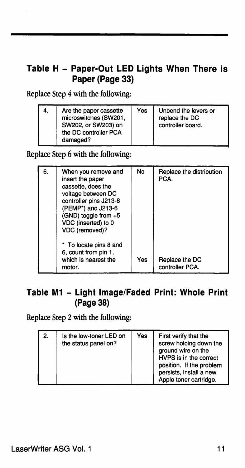#### **Table H - Paper-Out LED Lights When There is Paper {Page 33)**

Replace Step 4 with the following:

| 4. | Are the paper cassette<br>microswitches (SW201,<br>SW202, or SW203) on<br>the DC controller PCA<br>damaged? | Yes | Unbend the levers or<br>replace the DC<br>controller board. |
|----|-------------------------------------------------------------------------------------------------------------|-----|-------------------------------------------------------------|
|----|-------------------------------------------------------------------------------------------------------------|-----|-------------------------------------------------------------|

Replace Step 6 with the following:

| 6. | When you remove and<br>insert the paper<br>cassette, does the<br>voltage between DC<br>controller pins J213-8<br>(PEMP*) and J213-6<br>(GND) toggle from +5<br>VDC (inserted) to 0<br>VDC (removed)? | No  | Replace the distribution<br>PCA.  |
|----|------------------------------------------------------------------------------------------------------------------------------------------------------------------------------------------------------|-----|-----------------------------------|
|    | * To locate pins 8 and<br>6, count from pin 1,<br>which is nearest the<br>motor.                                                                                                                     | Yes | Replace the DC<br>controller PCA. |

#### **Table M1 - Light Image/Faded Print: Whole Print {Page38)**

Replace Step 2 with the following:

| 2. | Is the low-toner LED on<br>the status panel on? | Yes | First verify that the<br>screw holding down the<br>ground wire on the<br>HVPS is in the correct<br>position. If the problem<br>persists, install a new<br>Apple toner cartridge. |
|----|-------------------------------------------------|-----|----------------------------------------------------------------------------------------------------------------------------------------------------------------------------------|
|----|-------------------------------------------------|-----|----------------------------------------------------------------------------------------------------------------------------------------------------------------------------------|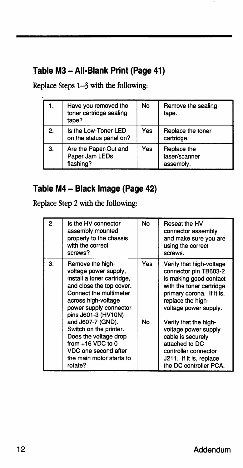## **Table M3-All·Blank Print (Page 41)**

Replace Steps 1-3 with the following:

| 1. | Have you removed the<br>toner cartridge sealing<br>tape? | No  | Remove the sealing<br>tape.               |
|----|----------------------------------------------------------|-----|-------------------------------------------|
| 2. | Is the Low-Toner LED<br>on the status panel on?          | Yes | Replace the toner<br>cartridge.           |
| 3. | Are the Paper-Out and<br>Paper Jam LEDs<br>flashing?     | Yes | Replace the<br>laser/scanner<br>assembly. |

#### **Table M4 - Black Image (Page 42)**

Replace Step 2 with the following:

| 2. | Is the HV connector<br>assembly mounted<br>properly to the chassis<br>with the correct<br>screws?                                                                                                                                                                                                                                                                   | No         | Reseat the HV<br>connector assembly<br>and make sure you are<br>using the correct<br>screws.                                                                                                                                                                                                                                                            |
|----|---------------------------------------------------------------------------------------------------------------------------------------------------------------------------------------------------------------------------------------------------------------------------------------------------------------------------------------------------------------------|------------|---------------------------------------------------------------------------------------------------------------------------------------------------------------------------------------------------------------------------------------------------------------------------------------------------------------------------------------------------------|
| 3. | Remove the high-<br>voltage power supply,<br>install a toner cartridge.<br>and close the top cover.<br>Connect the multimeter<br>across high-voltage<br>power supply connector<br>pins J601-3 (HV10N)<br>and J607-7 (GND).<br>Switch on the printer.<br>Does the voltage drop<br>from $+16$ VDC to 0<br>VDC one second after<br>the main motor starts to<br>rotate? | Yes.<br>No | Verify that high-voltage<br>connector pin TB603-2<br>is making good contact<br>with the toner cartridge<br>primary corona. If it is,<br>replace the high-<br>voltage power supply.<br>Verify that the high-<br>voltage power supply<br>cable is securely<br>attached to DC<br>controller connector<br>J211. If it is, replace<br>the DC controller PCA. |

 $\ddot{\phantom{0}}$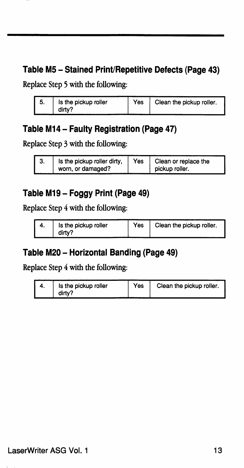#### **Table MS - Stained Print/Repetitive Defects (Page 43)**

Replace Step 5 with the following:

| Is the pickup roller | Yes | Clean the pickup roller. |
|----------------------|-----|--------------------------|
| dirty?               |     |                          |

#### **Table M14- Faulty Registration (Page 47)**

Replace Step 3 with the following:

| Is the pickup roller dirty,<br>Yes<br>Clean or replace the<br>o.<br>worn, or damaged?<br>pickup roller. |  |
|---------------------------------------------------------------------------------------------------------|--|
|---------------------------------------------------------------------------------------------------------|--|

#### **Table M19- Foggy Print (Page 49)**

Replace Step 4 with the following:

| Is the pickup roller | Yes | Clean the pickup roller. |
|----------------------|-----|--------------------------|
| dirty?               |     |                          |

#### **Table M20 - Horizontal Banding (Page 49)**

Replace Step 4 with the following:

| Is the pickup roller | Yes | Clean the pickup roller. |
|----------------------|-----|--------------------------|
| dirty?               |     |                          |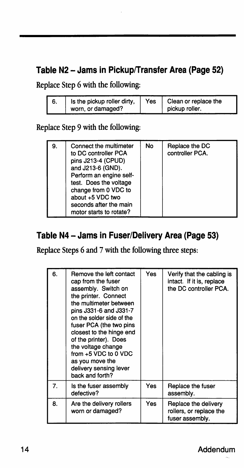## Table N2 - Jams in Pickup/Transfer Area (Page 52)

Replace Step 6 with the following:

| о. | Is the pickup roller dirty, | Yes | Clean or replace the |
|----|-----------------------------|-----|----------------------|
|    | worn, or damaged?           |     | pickup roller.       |

#### Replace Step 9 with the following:

| 9. | Connect the multimeter<br>to DC controller PCA<br>pins J213-4 (CPUD)<br>and J213-6 (GND).<br>Perform an engine self-<br>test. Does the voltage<br>change from 0 VDC to<br>about +5 VDC two<br>seconds after the main<br>motor starts to rotate? | No | Replace the DC<br>controller PCA. |
|----|-------------------------------------------------------------------------------------------------------------------------------------------------------------------------------------------------------------------------------------------------|----|-----------------------------------|
|----|-------------------------------------------------------------------------------------------------------------------------------------------------------------------------------------------------------------------------------------------------|----|-----------------------------------|

#### **Table N4 - Jams in Fuser/Delivery Area (Page 53)**

Replace Steps 6 and 7 with the following three steps:

| 6. | Remove the left contact<br>cap from the fuser<br>assembly. Switch on<br>the printer. Connect<br>the multimeter between<br>pins J331-6 and J331-7<br>on the solder side of the<br>fuser PCA (the two pins<br>closest to the hinge end<br>of the printer). Does<br>the voltage change<br>from +5 VDC to 0 VDC<br>as you move the<br>delivery sensing lever<br>back and forth? | <b>Yes</b> | Verify that the cabling is<br>intact. If it is, replace<br>the DC controller PCA. |
|----|-----------------------------------------------------------------------------------------------------------------------------------------------------------------------------------------------------------------------------------------------------------------------------------------------------------------------------------------------------------------------------|------------|-----------------------------------------------------------------------------------|
| 7. | Is the fuser assembly<br>defective?                                                                                                                                                                                                                                                                                                                                         | Yes        | Replace the fuser<br>assembly.                                                    |
| 8. | Are the delivery rollers<br>worn or damaged?                                                                                                                                                                                                                                                                                                                                | Yes        | Replace the delivery<br>rollers, or replace the<br>fuser assembly.                |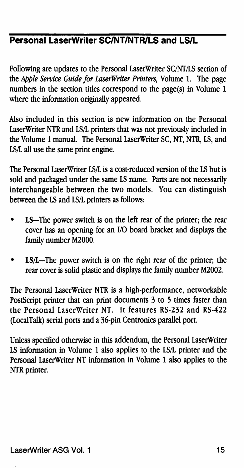## **Personal LaserWrlter SC/NT/NTR/LS and LS/L**

Following are updates to the Personal LaserWriter SC/NT/LS section of the *Apple Service Guide for LaserWriter Printers,* Volume 1. The page numbers in the section titles correspond to the page(s) in Volume 1 where the information originally appeared.

Also included in this section is new information on the Personal LaserWriter NTR and LS/L printers that was not previously included in the Volume 1 manual. The Personal LaserWriter SC, NT, NTR, LS, and LS/L all use the same print engine.

The Personal LaserWriter LS/Lis a cost-reduced version of the LS but is sold and packaged under the same LS name. Parts are not necessarily interchangeable between the two models. You can distinguish between the LS and LS/L printers as follows:

- LS-The power switch is on the left rear of the printer; the rear cover has an opening for an 1/0 board bracket and displays the family number M2000.
- LS/L-The power switch is on the right rear of the printer; the rear cover is solid plastic and displays the family number M2002.

The Personal LaserWriter NTR is a high-performance, networkable PostScript printer that can print documents 3 to 5 times faster than the Personal LaserWriter NT. It features RS-232 and RS-422 (LocalTalk) serial ports and a 36-pin Centronics parallel port.

Unless specified otherwise in this addendum, the Personal LaserWriter LS infonnation in Volume 1 also applies to the LS/L printer and the Personal LaserWriter NT information in Volume 1 also applies to the NTR printer.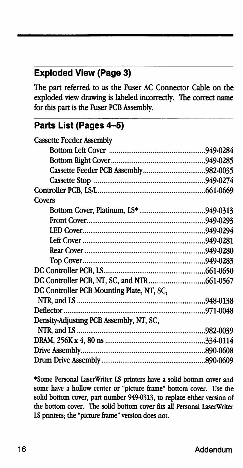#### **Exploded View (Page 3)**

The part referred to as the Fuser AC Connector Cable on the exploded view drawing is labeled incorrectly. The correct name for this part is the Fuser PCB Assembly.

#### **Parts List (Pages 4-5)**

| <b>Cassette Feeder Assembly</b>           |  |
|-------------------------------------------|--|
|                                           |  |
|                                           |  |
|                                           |  |
|                                           |  |
|                                           |  |
| Covers                                    |  |
|                                           |  |
|                                           |  |
|                                           |  |
|                                           |  |
|                                           |  |
|                                           |  |
|                                           |  |
|                                           |  |
| DC Controller PCB Mounting Plate, NT, SC, |  |
|                                           |  |
|                                           |  |
| Density-Adjusting PCB Assembly, NT, SC,   |  |
|                                           |  |
|                                           |  |
|                                           |  |
|                                           |  |

\*Some Personal LaserWriter IS printers have a solid bottom cover and some have a hollow center or "picture frame" bottom cover. Use the solid bottom cover, part number 949-0313, to replace either version of the bottom cover. The solid bottom cover fits all Personal LaserWriter IS printers; the "picture frame" version does not.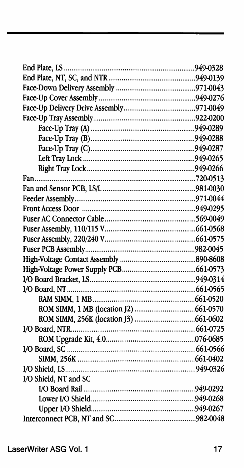| I/O Shield, NT and SC |  |
|-----------------------|--|
|                       |  |
|                       |  |
|                       |  |
|                       |  |

#### LaserWriter ASG Vol. 1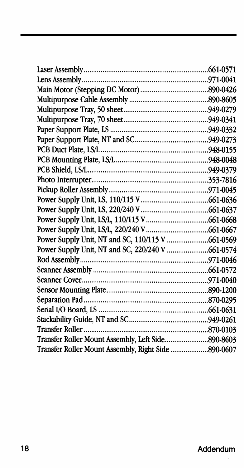| Transfer Roller                                     | 870-0103 |
|-----------------------------------------------------|----------|
| Transfer Roller Mount Assembly, Left Side890-8603   |          |
| Transfer Roller Mount Assembly, Right Side 890-0607 |          |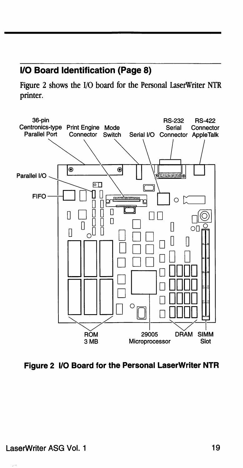#### **1/0 Board Identification (Page 8)**

Figure 2 shows the 1/0 board for the Personal LaserWriter NTR printer.



**Figure 2 1/0 Board for the Personal LaserWriter NTR**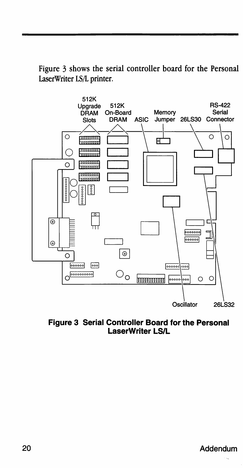Figure 3 shows the serial controller board for the Personal LaserWriter LS/L printer.



**Figure 3 Serial Controller Board for the Personal LaserWriter LS/L** 

#### Addendum

 $\epsilon_{\rm m}$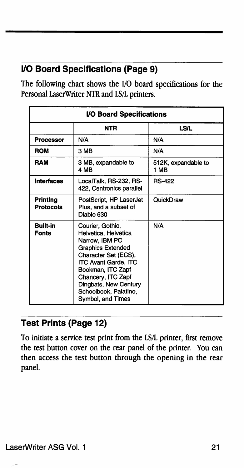# 110 Board Specifications (Page 9)

The following chart shows the 1/0 board specifications for the Personal LaserWriter NTR and IB/L printers.

| I/O Board Specifications     |                                                                                                                                                                                                                                                                 |                             |  |
|------------------------------|-----------------------------------------------------------------------------------------------------------------------------------------------------------------------------------------------------------------------------------------------------------------|-----------------------------|--|
|                              | NTR                                                                                                                                                                                                                                                             | <b>LS/L</b>                 |  |
| <b>Processor</b>             | N/A                                                                                                                                                                                                                                                             | N/A                         |  |
| <b>ROM</b>                   | 3 MB                                                                                                                                                                                                                                                            | N/A                         |  |
| RAM                          | 3 MB, expandable to<br>4 MB                                                                                                                                                                                                                                     | 512K, expandable to<br>1 MB |  |
| <b>Interfaces</b>            | LocalTalk, RS-232, RS-<br>422, Centronics parallel                                                                                                                                                                                                              | <b>RS-422</b>               |  |
| Printing<br><b>Protocols</b> | PostScript, HP LaserJet<br>Plus, and a subset of<br>Diablo 630                                                                                                                                                                                                  | QuickDraw                   |  |
| Built-in<br><b>Fonts</b>     | Courier, Gothic,<br>Helvetica, Helvetica<br>Narrow, IBM PC<br><b>Graphics Extended</b><br>Character Set (ECS),<br><b>ITC Avant Garde, ITC</b><br>Bookman, ITC Zapf<br>Chancery, ITC Zapf<br>Dingbats, New Century<br>Schoolbook, Palatino,<br>Symbol, and Times | N/A                         |  |

## Test Prints (Page 12)

To initiate a service test print from the IB/L printer, first remove the test button cover on the rear panel of the printer. You can then access the test button through the opening in the rear panel.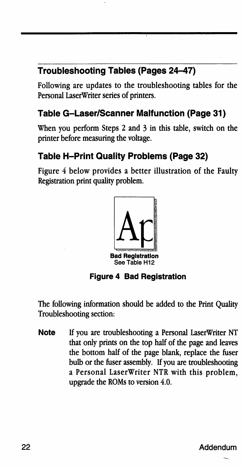# Troubleshooting Tables (Pages 24-47)

Following are updates to the troubleshooting tables for the Personal LaserWriter series of printers.

#### Table G-Laser/Scanner Malfunction (Page 31)

When you perform Steps 2 and 3 in this table, switch on the printer before measuring the voltage.

#### Table H-Print Quality Problems (Page 32)

Figure 4 below provides a better illustration of the Faulty Registration print quality problem.



Figure 4 Bad Registration

The following information should be added to the Print Quality Troubleshooting section:

Note If you are troubleshooting a Personal LaserWriter NT that only prints on the top half of the page and leaves the bottom half of the page blank, replace the fuser bulb or the fuser assembly. If you are troubleshooting a Personal LaserWriter NTR with this problem, upgrade the ROMs to version 4.0.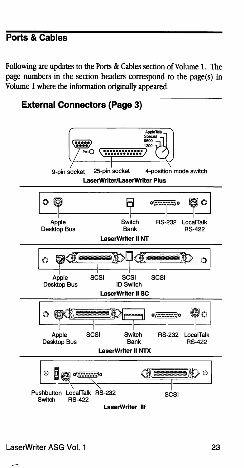## **Ports & Cables**

Following are updates to the Ports & Cables section of Volume 1. The page numbers in the section headers correspond to the page(s) in Volume 1 where the information originally appeared.

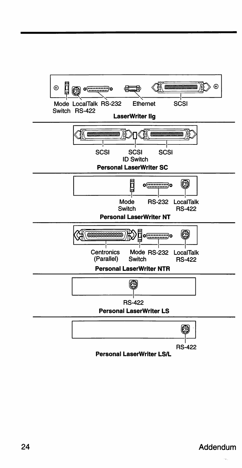

**Personal LaserWrlter LS/L**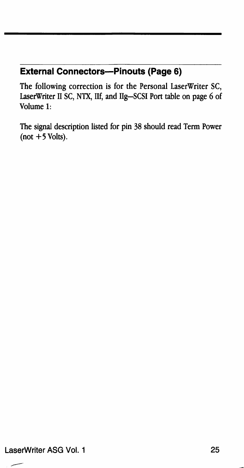#### **External Connectors-Pinouts (Page 6)**

The following correction is for the Personal LaserWriter SC, LaserWriter II SC, NTX, Ilf, and Ilg-SCSI Port table on page 6 of Volume 1:

The signal description listed for pin 38 should read Term Power  $(not +5$  Volts).